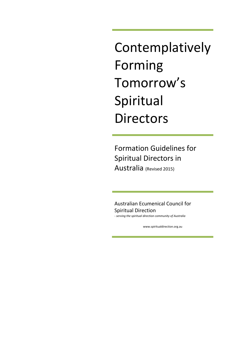Contemplatively Forming Tomorrow's Spiritual Directors

Formation Guidelines for Spiritual Directors in Australia (Revised 2015)

Australian Ecumenical Council for Spiritual Direction *- serving the spiritual direction community of Australia*

[www.spiritualdirection.org.au](http://www.spiritualdirection.org.au/)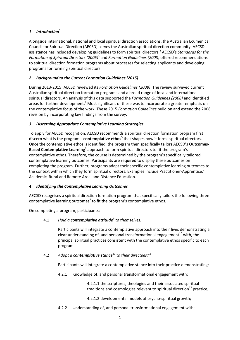# 1 **Introduction**<sup>1</sup>

Alongside international, national and local spiritual direction associations, the Australian Ecumenical Council for Spiritual Direction (AECSD) serves the Australian spiritual direction community. AECSD's assistance has included developing guidelines to form spiritual directors. <sup>2</sup> AECSD's *Standards for the Formation of Spiritual Directors (2005)*<sup>3</sup> and *Formation Guidelines (2008)* offered recommendations to spiritual direction formation programs about processes for selecting applicants and developing programs for forming spiritual directors.

# *2 Background to the Current Formation Guidelines (2015)*

During 2013-2015, AECSD reviewed its *Formation Guidelines (2008)*. The review surveyed current Australian spiritual direction formation programs and a broad range of local and international spiritual directors. An analysis of this data supported the *Formation Guidelines (2008)* and identified areas for further development.<sup>4</sup> Most significant of these was to incorporate a greater emphasis on the contemplative focus of the work. These 2015 *Formation Guidelines* build on and extend the 2008 revision by incorporating key findings from the survey.

# *3 Discerning Appropriate Contemplative Learning Strategies*

To apply for AECSD recognition, AECSD recommends a spiritual direction formation program first discern what is the program's **contemplative ethos**<sup>5</sup> that shapes how it forms spiritual directors. Once the contemplative ethos is identified, the program then specifically tailors AECSD's **Outcomes-Based Contemplative Learning**<sup>6</sup> approach to form spiritual directors to fit the program's contemplative ethos. Therefore, the course is determined by the program's specifically tailored contemplative learning outcomes. Participants are required to display these outcomes on completing the program. Further, programs adapt their specific contemplative learning outcomes to the context within which they form spiritual directors. Examples include Practitioner-Apprentice,<sup>7</sup> Academic, Rural and Remote Area, and Distance Education.

# **4** *Identifying the Contemplative Learning Outcomes*

AECSD recognises a spiritual direction formation program that specifically tailors the following three contemplative learning outcomes<sup>8</sup> to fit the program's contemplative ethos.

On completing a program, participants:

# 4.1 *Hold a contemplative attitude*<sup>9</sup> *to themselves:*

Participants will integrate a contemplative approach into their lives demonstrating a clear understanding of, and personal transformational engagement<sup>10</sup> with, the principal spiritual practices consistent with the contemplative ethos specific to each program.

# 4.2 *Adopt a contemplative stance*<sup>11</sup> *to their directees:* 12

Participants will integrate a contemplative stance into their practice demonstrating:

4.2.1 Knowledge of, and personal transformational engagement with:

4.2.1.1 the scriptures, theologies and their associated spiritual traditions and cosmologies relevant to spiritual direction<sup>13</sup> practice;

4.2.1.2 developmental models of psycho-spiritual growth;

4.2.2 Understanding of, and personal transformational engagement with: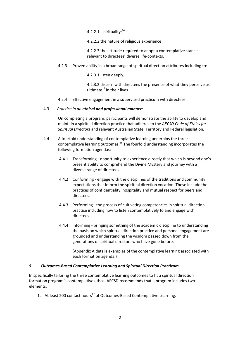4.2.2.1 spirituality; $^{14}$ 

4.2.2.2 the nature of religious experience;

4.2.2.3 the attitude required to adopt a contemplative stance relevant to directees' diverse life-contexts.

4.2.3 Proven ability in a broad range of spiritual direction attributes including to:

4.2.3.1 listen deeply;

4.2.3.2 discern with directees the presence of what they perceive as  $ultime<sup>15</sup>$  in their lives.

4.2.4 Effective engagement in a supervised practicum with directees.

#### 4.3 *Practice in an ethical and professional manner:*

On completing a program, participants will demonstrate the ability to develop and maintain a spiritual direction practice that adheres to the *AECSD Code of Ethics for Spiritual Directors* and relevant Australian State, Territory and Federal legislation.

- 4.4 A fourfold understanding of contemplative learning underpins the three contemplative learning outcomes.<sup>16</sup> The fourfold understanding incorporates the following formation agendas:
	- 4.4.1 Transforming opportunity to experience directly that which is beyond one's present ability to comprehend the Divine Mystery and journey with a diverse range of directees.
	- 4.4.2 Conforming engage with the disciplines of the traditions and community expectations that inform the spiritual direction vocation. These include the practices of confidentiality, hospitality and mutual respect for peers and directees.
	- 4.4.3 Performing the process of cultivating competencies in spiritual direction practice including how to listen contemplatively to and engage with directees.
	- 4.4.4 Informing bringing something of the academic discipline to understanding the basis on which spiritual direction practice and personal engagement are grounded and understanding the wisdom passed down from the generations of spiritual directors who have gone before.

(Appendix A details examples of the contemplative learning associated with each formation agenda.)

### *5 Outcomes-Based Contemplative Learning and Spiritual Direction Practicum*

In specifically tailoring the three contemplative learning outcomes to fit a spiritual direction formation program's contemplative ethos, AECSD recommends that a program includes two elements.

1. At least 200 contact hours<sup>17</sup> of Outcomes-Based Contemplative Learning.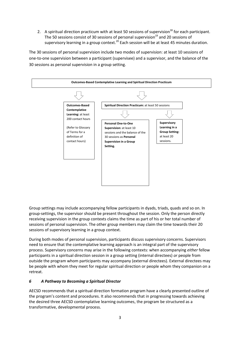2. A spiritual direction practicum with at least 50 sessions of supervision<sup>18</sup> for each participant. The 50 sessions consist of 30 sessions of personal supervision $^{19}$  and 20 sessions of supervisory learning in a group context.<sup>20</sup> Each session will be at least 45 minutes duration.

The 30 sessions of personal supervision include two modes of supervision: at least 10 sessions of one-to-one supervision between a participant (supervisee) and a supervisor, and the balance of the 30 sessions as personal supervision in a group setting.



Group settings may include accompanying fellow participants in dyads, triads, quads and so on. In group-settings, the supervisor should be present throughout the session. Only the person directly receiving supervision in the group contexts claims the time as part of his or her total number of sessions of personal supervision. The other group members may claim the time towards their 20 sessions of supervisory learning in a group context.

During both modes of personal supervision, participants discuss supervisory concerns. Supervisors need to ensure that the contemplative learning approach is an integral part of the supervisory process. Supervisory concerns may arise in the following contexts: when accompanying *either* fellow participants in a spiritual direction session in a group setting (internal directees) *or* people from outside the program whom participants may accompany (external directees). External directees may be people with whom they meet for regular spiritual direction or people whom they companion on a retreat.

# *6 A Pathway to Becoming a Spiritual Director*

AECSD recommends that a spiritual direction formation program have a clearly presented outline of the program's content and procedures. It also recommends that in progressing towards achieving the desired three AECSD contemplative learning outcomes, the program be structured as a transformative, developmental process.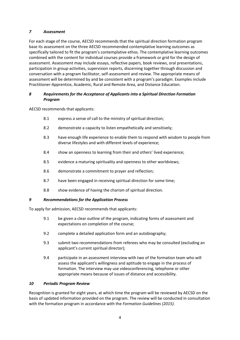# *7 Assessment*

For each stage of the course, AECSD recommends that the spiritual direction formation program base its assessment on the three AECSD recommended contemplative learning outcomes as specifically tailored to fit the program's contemplative ethos. The contemplative learning outcomes combined with the content for individual courses provide a framework or grid for the design of assessment. Assessment may include essays, reflective papers, book reviews, oral presentations, participation in group-activities, supervision reports, discerning together through discussion and conversation with a program facilitator, self-assessment and review. The appropriate means of assessment will be determined by and be consistent with a program's paradigm. Examples include Practitioner-Apprentice, Academic, Rural and Remote Area, and Distance Education.

# *8 Requirements for the Acceptance of Applicants into a Spiritual Direction Formation Program*

AECSD recommends that applicants:

- 8.1 express a sense of call to the ministry of spiritual direction;
- 8.2 demonstrate a capacity to listen empathetically and sensitively;
- 8.3 have enough life experience to enable them to respond with wisdom to people from diverse lifestyles and with different levels of experience;
- 8.4 show an openness to learning from their and others' lived experience;
- 8.5 evidence a maturing spirituality and openness to other worldviews;
- 8.6 demonstrate a commitment to prayer and reflection;
- 8.7 have been engaged in receiving spiritual direction for some time;
- 8.8 show evidence of having the charism of spiritual direction.

# *9 Recommendations for the Application Process*

To apply for admission, AECSD recommends that applicants:

- 9.1 be given a clear outline of the program, indicating forms of assessment and expectations on completion of the course;
- 9.2 complete a detailed application form and an autobiography;
- 9.3 submit two recommendations from referees who may be consulted (excluding an applicant's current spiritual director);
- 9.4 participate in an assessment interview with two of the formation team who will assess the applicant's willingness and aptitude to engage in the process of formation. The interview may use videoconferencing, telephone or other appropriate means because of issues of distance and accessibility.

# *10 Periodic Program Review*

Recognition is granted for eight years, at which time the program will be reviewed by AECSD on the basis of updated information provided on the program. The review will be conducted in consultation with the formation program in accordance with the *Formation Guidelines (2015)*.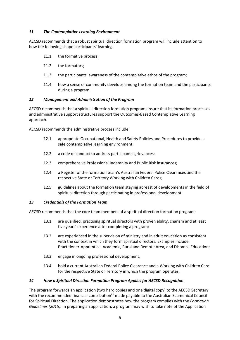### *11 The Contemplative Learning Environment*

AECSD recommends that a robust spiritual direction formation program will include attention to how the following shape participants' learning:

- 11.1 the formative process:
- 11.2 the formators;
- 11.3 the participants' awareness of the contemplative ethos of the program;
- 11.4 how a sense of community develops among the formation team and the participants during a program.

### *12 Management and Administration of the Program*

AECSD recommends that a spiritual direction formation program ensure that its formation processes and administrative support structures support the Outcomes-Based Contemplative Learning approach.

AECSD recommends the administrative process include:

- 12.1 appropriate Occupational, Health and Safety Policies and Procedures to provide a safe contemplative learning environment;
- 12.2 a code of conduct to address participants' grievances;
- 12.3 comprehensive Professional Indemnity and Public Risk insurances;
- 12.4 a Register of the formation team's Australian Federal Police Clearances and the respective State or Territory Working with Children Cards;
- 12.5 guidelines about the formation team staying abreast of developments in the field of spiritual direction through participating in professional development.

### *13 Credentials of the Formation Team*

AECSD recommends that the core team members of a spiritual direction formation program:

- 13.1 are qualified, practising spiritual directors with proven ability, charism and at least five years' experience after completing a program;
- 13.2 are experienced in the supervision of ministry and in adult education as consistent with the context in which they form spiritual directors. Examples include Practitioner-Apprentice, Academic, Rural and Remote Area, and Distance Education;
- 13.3 engage in ongoing professional development;
- 13.4 hold a current Australian Federal Police Clearance and a Working with Children Card for the respective State or Territory in which the program operates.

### *14 How a Spiritual Direction Formation Program Applies for AECSD Recognition*

The program forwards an application (two hard copies and one digital copy) to the AECSD Secretary with the recommended financial contribution $^{21}$  made payable to the Australian Ecumenical Council for Spiritual Direction. The application demonstrates how the program complies with the *Formation Guidelines (2015).* In preparing an application, a program may wish to take note of the Application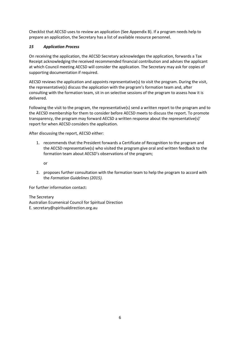Checklist that AECSD uses to review an application (See Appendix B). If a program needs help to prepare an application, the Secretary has a list of available resource personnel.

# *15 Application Process*

On receiving the application, the AECSD Secretary acknowledges the application, forwards a Tax Receipt acknowledging the received recommended financial contribution and advises the applicant at which Council meeting AECSD will consider the application. The Secretary may ask for copies of supporting documentation if required.

AECSD reviews the application and appoints representative(s) to visit the program. During the visit, the representative(s) discuss the application with the program's formation team and, after consulting with the formation team, sit in on selective sessions of the program to assess how it is delivered.

Following the visit to the program, the representative(s) send a written report to the program and to the AECSD membership for them to consider before AECSD meets to discuss the report. To promote transparency, the program may forward AECSD a written response about the representative(s)' report for when AECSD considers the application.

After discussing the report, AECSD either:

1. recommends that the President forwards a Certificate of Recognition to the program and the AECSD representative(s) who visited the program give oral and written feedback to the formation team about AECSD's observations of the program;

or

2. proposes further consultation with the formation team to help the program to accord with the *Formation Guidelines (2015).*

For further information contact:

# The Secretary

Australian Ecumenical Council for Spiritual Direction E. secretary@spiritualdirection.org.au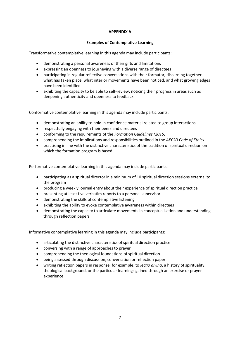## **APPENDIX A**

## **Examples of Contemplative Learning**

Transformative contemplative learning in this agenda may include participants:

- demonstrating a personal awareness of their gifts and limitations
- expressing an openness to journeying with a diverse range of directees
- participating in regular reflective conversations with their formator, discerning together what has taken place, what interior movements have been noticed, and what growing edges have been identified
- exhibiting the capacity to be able to self-review; noticing their progress in areas such as deepening authenticity and openness to feedback

Conformative contemplative learning in this agenda may include participants:

- demonstrating an ability to hold in confidence material related to group interactions
- respectfully engaging with their peers and directees
- x conforming to the requirements of the *Formation Guidelines (2015)*
- x comprehending the implications and responsibilities outlined in the *AECSD Code of Ethics*
- practising in line with the distinctive characteristics of the tradition of spiritual direction on which the formation program is based

Performative contemplative learning in this agenda may include participants:

- participating as a spiritual director in a minimum of 10 spiritual direction sessions external to the program
- producing a weekly journal entry about their experience of spiritual direction practice
- presenting at least five verbatim reports to a personal supervisor
- demonstrating the skills of contemplative listening
- exhibiting the ability to evoke contemplative awareness within directees
- x demonstrating the capacity to articulate movements in conceptualisation and understanding through reflection papers

Informative contemplative learning in this agenda may include participants:

- articulating the distinctive characteristics of spiritual direction practice
- conversing with a range of approaches to prayer
- comprehending the theological foundations of spiritual direction
- being assessed through discussion, conversation or reflection paper
- x writing reflection papers in response, for example, to *lectio divina*, a history of spirituality, theological background, or the particular learnings gained through an exercise or prayer experience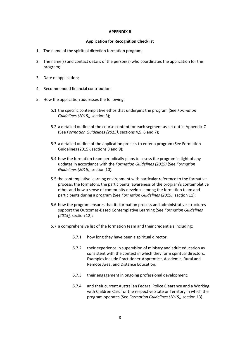#### **APPENDIX B**

#### **Application for Recognition Checklist**

- 1. The name of the spiritual direction formation program;
- 2. The name(s) and contact details of the person(s) who coordinates the application for the program;
- 3. Date of application;
- 4. Recommended financial contribution;
- 5. How the application addresses the following:
	- 5.1 the specific contemplative ethos that underpins the program (See *Formation Guidelines (2015),* section 3);
	- 5.2 a detailed outline of the course content for each segment as set out in Appendix C (See *Formation Guidelines (2015),* sections 4,5, 6 and 7);
	- 5.3 a detailed outline of the application process to enter a program (See Formation Guidelines (2015), sections 8 and 9);
	- 5.4 how the formation team periodically plans to assess the program in light of any updates in accordance with the *Formation Guidelines (2015)* (See *Formation Guidelines (2015)*, section 10).
	- 5.5 the contemplative learning environment with particular reference to the formative process, the formators, the participants' awareness of the program's contemplative ethos and how a sense of community develops among the formation team and participants during a program (See *Formation Guidelines (2015),* section 11);
	- 5.6 how the program ensures that its formation process and administrative structures support the Outcomes-Based Contemplative Learning (See *Formation Guidelines (2015),* section 12);
	- 5.7 a comprehensive list of the formation team and their credentials including:
		- 5.7.1 how long they have been a spiritual director;
		- 5.7.2 their experience in supervision of ministry and adult education as consistent with the context in which they form spiritual directors. Examples include Practitioner-Apprentice, Academic, Rural and Remote Area, and Distance Education;
		- 5.7.3 their engagement in ongoing professional development;
		- 5.7.4 and their current Australian Federal Police Clearance and a Working with Children Card for the respective State or Territory in which the program operates (See *Formation Guidelines (2015),* section 13).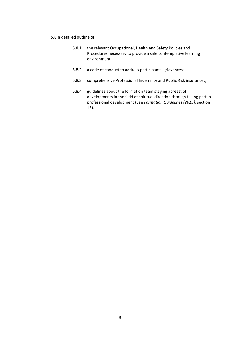#### 5.8 a detailed outline of:

- 5.8.1 the relevant Occupational, Health and Safety Policies and Procedures necessary to provide a safe contemplative learning environment;
- 5.8.2 a code of conduct to address participants' grievances;
- 5.8.3 comprehensive Professional Indemnity and Public Risk insurances;
- 5.8.4 guidelines about the formation team staying abreast of developments in the field of spiritual direction through taking part in professional development (See *Formation Guidelines (2015),* section 12).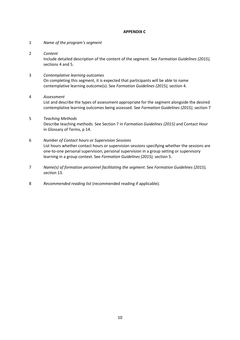### **APPENDIX C**

- 1 *Name of the program's segment*
- 2 *Content*

Include detailed description of the content of the segment. See *Formation Guidelines (2015),* sections 4 and 5.

3 *Contemplative learning outcomes* On completing this segment, it is expected that participants will be able to name contemplative learning outcome(s). See *Formation Guidelines (2015),* section 4.

## 4 *Assessment*

List and describe the types of assessment appropriate for the segment alongside the desired contemplative learning outcomes being assessed. See *Formation Guidelines (2015)*, section 7

## 5 *Teaching Methods*

Describe teaching methods. See Section 7 in *Formation Guidelines (2015)* and Contact Hour in Glossary of Terms, p 14.

## 6 *Number of Contact hours or Supervision Sessions*

List hours whether contact hours or supervision sessions specifying whether the sessions are one-to-one personal supervision, personal supervision in a group setting or supervisory learning in a group context. See *Formation Guidelines (2015),* section 5.

- 7 *Name(s) of formation personnel facilitating the segment*. See *Formation Guidelines (2015),* section 13.
- 8 *Recommended reading list* (recommended reading if applicable).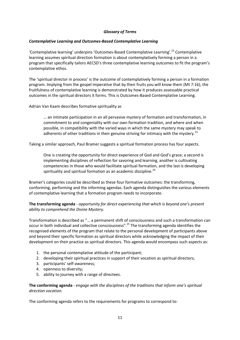# *Glossary of Terms*

### *Contemplative Learning and Outcomes-Based Contemplative Learning*

'Contemplative learning' underpins 'Outcomes-Based Contemplative Learning'.<sup>22</sup> Contemplative learning assumes spiritual direction formation is about contemplatively forming a person in a program that specifically tailors AECSD's three contemplative learning outcomes to fit the program's contemplative ethos.

The 'spiritual director in process' is the outcome of contemplatively forming a person in a formation program. Implying from the gospel imperative that by their fruits you will know them (Mt 7:16), the fruitfulness of contemplative learning is demonstrated by how it produces assessable practical outcomes in the spiritual directors it forms. This is Outcomes-Based Contemplative Learning.

Adrian Van Kaam describes formative spirituality as

… an intimate participation in an all pervasive mystery of formation and transformation, in commitment to and congeniality with our own formation tradition, and where and when possible, in compatibility with the varied ways in which the same mystery may speak to adherents of other traditions in their genuine striving for intimacy with the mystery.<sup>23</sup>

Taking a similar approach, Paul Bramer suggests a spiritual formation process has four aspects.

One is creating the opportunity for direct experience of God and God's grace; a second is implementing disciplines of reflection for savoring and learning, another is cultivating competencies in those who would facilitate spiritual formation, and the last is developing spirituality and spiritual formation as an academic discipline.<sup>24</sup>

Bramer's categories could be described as these four formative outcomes: the transforming, conforming, performing and the informing agendas. Each agenda distinguishes the various elements of contemplative learning that a formation program needs to incorporate.

**The transforming agenda** - *opportunity for direct experiencing that which is beyond one's present ability to comprehend the Divine Mystery*.

Transformation is described as "… a permanent shift of consciousness and such a transformation can occur in both individual and collective consciousness".<sup>25</sup> The transforming agenda identifies the recognised elements of the program that relate to the personal development of participants above and beyond their specific formation as spiritual directors while acknowledging the impact of their development on their practice as spiritual directors. This agenda would encompass such aspects as:

- 1. the personal contemplative attitude of the participant;
- 2. developing their spiritual practices in support of their vocation as spiritual directors;
- 3. participants' self-awareness;
- 4. openness to diversity;
- 5. ability to journey with a range of directees.

**The conforming agenda** - *engage with the disciplines of the traditions that inform one's spiritual direction vocation.*

The conforming agenda refers to the requirements for programs to correspond to: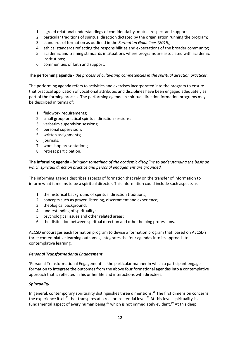- 1. agreed relational understandings of confidentiality, mutual respect and support
- 2. particular traditions of spiritual direction dictated by the organisation running the program;
- 3. standards of formation as outlined in the *Formation Guidelines (2015)*;
- 4. ethical standards reflecting the responsibilities and expectations of the broader community;
- 5. academic and training standards in situations where programs are associated with academic institutions;
- 6. communities of faith and support.

## **The performing agenda** - *the process of cultivating competencies in the spiritual direction practices.*

The performing agenda refers to activities and exercises incorporated into the program to ensure that practical application of vocational attributes and disciplines have been engaged adequately as part of the forming process. The performing agenda in spiritual direction formation programs may be described in terms of:

- 1. fieldwork requirements;
- 2. small group practical spiritual direction sessions;
- 3. verbatim supervision sessions;
- 4. personal supervision;
- 5. written assignments;
- 6. journals;
- 7. workshop presentations;
- 8. retreat participation.

**The informing agenda** - *bringing something of the academic discipline to understanding the basis on which spiritual direction practice and personal engagement are grounded.*

The informing agenda describes aspects of formation that rely on the transfer of information to inform what it means to be a spiritual director. This information could include such aspects as:

- 1. the historical background of spiritual direction traditions;
- 2. concepts such as prayer, listening, discernment and experience;
- 3. theological background;
- 4. understanding of spirituality;
- 5. psychological issues and other related areas;
- 6. the distinction between spiritual direction and other helping professions.

AECSD encourages each formation program to devise a formation program that, based on AECSD's three contemplative learning outcomes, integrates the four agendas into its approach to contemplative learning.

### *Personal Transformational Engagement*

'Personal Transformational Engagement' is the particular manner in which a participant engages formation to integrate the outcomes from the above four formational agendas into a contemplative approach that is reflected in his or her life and interactions with directees.

### *Spirituality*

In general, contemporary spirituality distinguishes three dimensions.<sup>26</sup> The first dimension concerns the experience itself<sup>27</sup> that transpires at a real or existential level.<sup>28</sup> At this level, spirituality is a fundamental aspect of every human being,<sup>29</sup> which is not immediately evident.<sup>30</sup> At this deep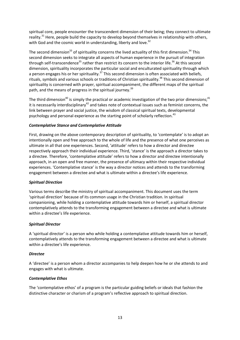spiritual core, people encounter the transcendent dimension of their being; they connect to ultimate reality.<sup>31</sup> Here, people build the capacity to develop beyond themselves in relationship with others, with God and the cosmic world in understanding, liberty and love.<sup>32</sup>

The second dimension<sup>33</sup> of spirituality concerns the lived actuality of this first dimension.<sup>34</sup> This second dimension seeks to integrate all aspects of human experience in the pursuit of integration through self-transcendence<sup>35</sup> rather than restrict its concern to the interior life.<sup>36</sup> At this second dimension, spirituality incorporates the particular social and enculturated spirituality through which a person engages his or her spirituality.<sup>37</sup> This second dimension is often associated with beliefs, rituals, symbols and various schools or traditions of Christian spirituality.<sup>38</sup> This second dimension of spirituality is concerned with prayer, spiritual accompaniment, the different maps of the spiritual path, and the means of progress in the spiritual journey.<sup>39</sup>

The third dimension<sup>40</sup> is simply the practical or academic investigation of the two prior dimensions;<sup>41</sup> it is necessarily interdisciplinary<sup>42</sup> and takes note of contextual issues such as feminist concerns, the link between prayer and social justice, the wisdom of classical spiritual texts, developmental psychology and personal experience as the starting point of scholarly reflection.<sup>43</sup>

# *Contemplative Stance and Contemplative Attitude*

First, drawing on the above contemporary description of spirituality, to 'contemplate' is to adopt an intentionally open and free approach to the whole of life and the presence of what one perceives as ultimate in all that one experiences. Second, 'attitude' refers to how a director and directee respectively approach their individual experience. Third, 'stance' is the approach a director takes to a directee. Therefore, 'contemplative attitude' refers to how a director and directee intentionally approach, in an open and free manner, the presence of ultimacy within their respective individual experiences. 'Contemplative stance' is the way a director notices and attends to the transforming engagement between a directee and what is ultimate within a directee's life experience.

### *Spiritual Direction*

Various terms describe the ministry of spiritual accompaniment. This document uses the term 'spiritual direction' because of its common usage in the Christian tradition. In spiritual companioning, while holding a contemplative attitude towards him or herself, a spiritual director contemplatively attends to the transforming engagement between a directee and what is ultimate within a directee's life experience.

### *Spiritual Director*

A 'spiritual director' is a person who while holding a contemplative attitude towards him or herself, contemplatively attends to the transforming engagement between a directee and what is ultimate within a directee's life experience.

### *Directee*

A 'directee' is a person whom a director accompanies to help deepen how he or she attends to and engages with what is ultimate.

### *Contemplative Ethos*

The 'contemplative ethos' of a program is the particular guiding beliefs or ideals that fashion the distinctive character or charism of a program's reflective approach to spiritual direction.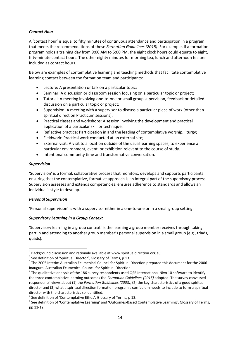# *Contact Hour*

A 'contact hour' is equal to fifty minutes of continuous attendance and participation in a program that meets the recommendations of these *Formation Guidelines (2015)*. For example, if a formation program holds a training day from 9:00 AM to 5:00 PM, the eight clock hours could equate to eight, fifty-minute contact hours. The other eighty minutes for morning tea, lunch and afternoon tea are included as contact hours.

Below are examples of contemplative learning and teaching methods that facilitate contemplative learning contact between the formation team and participants:

- **•** Lecture: A presentation or talk on a particular topic;
- **•** Seminar: A discussion or classroom session focusing on a particular topic or project;
- Tutorial: A meeting involving one-to-one or small group supervision, feedback or detailed discussion on a particular topic or project;
- Supervision: A meeting with a supervisor to discuss a particular piece of work (other than spiritual direction Practicum sessions);
- Practical classes and workshops: A session involving the development and practical application of a particular skill or technique:
- Reflective practice: Participation in and the leading of contemplative worship, liturgy;
- Fieldwork: Practical work conducted at an external site;
- External visit: A visit to a location outside of the usual learning spaces, to experience a particular environment, event, or exhibition relevant to the course of study.
- Intentional community time and transformative conversation.

### *Supervision*

'Supervision' is a formal, collaborative process that monitors, develops and supports participants ensuring that the contemplative, formative approach is an integral part of the supervisory process. Supervision assesses and extends competencies, ensures adherence to standards and allows an individual's style to develop.

### *Personal Supervision*

'Personal supervision' is with a supervisor either in a one-to-one or in a small group setting.

### *Supervisory Learning in a Group Context*

'Supervisory learning in a group context' is the learning a group member receives through taking part in and attending to another group member's personal supervision in a small group (e.g., triads, quads).

<sup>&</sup>lt;sup>1</sup> Background discussion and rationale available at [www.spiritualdirection.org.au](http://www.spiritualdirection.org.au/)<br>
<sup>2</sup> See definition of 'Spiritual Director', Glossary of Terms, p 13.<br>
<sup>3</sup> The 2005 Interim Australian Ecumenical Council for Spiritual Di Inaugural Australian Ecumenical Council for Spiritual Direction.<br><sup>4</sup> The qualitative analysis of the 186 survey respondents used QSR International Nivo 10 software to identify

the three contemplative learning outcomes the *Formation Guidelines (2015)* adopted. The survey canvassed respondents' views about (1) the *Formation Guidelines (2008)*, (2) the key characteristics of a good spiritual director and (3) what a spiritual direction formation program's curriculum needs to include to form a spiritual director with the characteristics so identified.

<sup>&</sup>lt;sup>5</sup> See definition of 'Contemplative Ethos', Glossary of Terms, p 13.<br><sup>6</sup> See definition of 'Contemplative Learning' and 'Outcomes-Based Contemplative Learning', Glossary of Terms, pp 11-12.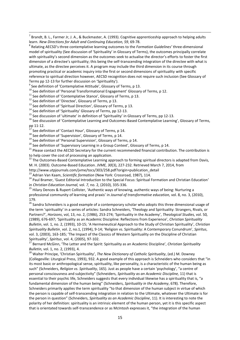$^7$  Brandt, B. L., Farmer Jr, J. A., & Buckmaster, A. (1993). Cognitive apprenticeship approach to helping adults learn. New Directions for Adult and Continuing Education, 59, 69-78.

<sup>8</sup> Relating AECSD's three contemplative learning outcomes to the *Formation Guidelines'* three-dimensional model of spirituality (See discussion of 'Spirituality' in Glossary of Terms), the outcomes principally correlate with spirituality's second dimension as the outcomes seek to actualise the director's efforts to foster the first dimension of a directee's spirituality; this being the self-transcending integration of the directee with what is ultimate, as the directee perceives it. A program may include the third dimension in its course through promoting practical or academic inquiry into the first or second dimensions of spirituality with specific reference to spiritual direction however, AECSD recognition does not require such inclusion (See Glossary of

Terms pp 12-13 for further discussion on 'Spirituality').<br>
<sup>9</sup> See definition of 'Contemplative Attitude', Glossary of Terms, p 13.<br>
<sup>10</sup> See definition of 'Personal Transformational Engagement' Glossary of Terms, p 12.<br>
<sup></sup>

<sup>17</sup> See definition of 'Contact Hour', Glossary of Terms, p 14.<br><sup>18</sup> See definition of 'Supervision', Glossary of Terms, p 14.<br><sup>19</sup> See definition of 'Personal Supervision', Glossary of Terms, p 14.<br><sup>20</sup> See definition of to help cover the cost of processing an application.

<sup>22</sup> The Outcomes-Based Contemplative Learning approach to forming spiritual directors is adapted from Davis, M. H. (2003). Outcome-Based Education. *JVME, 30*(3), 227-232. Retrieved March 7, 2014, from

http://www.utpjournals.com/jvme/tocs/303/258.pdf?origin=publication\_detail <sup>23</sup> Adrian Van Kaam, Scientific formation (New York: Crossroad, 1987), 114.

<sup>24</sup> Paul Bramer, 'Guest Editorial Introduction to the Special Focus: Spiritual Formation and Christian Education' in *Christian Education Journal, vol. 7, no.* 2, (2010), 335-336.<br><sup>25</sup> Hilary Dencev & Rupert Collister, 'Authentic ways of knowing, authentic ways of being: Nurturing a

professional community of learning and praxis' in *Journal of transformative education,* vol. 8, no. 3, (2010),

179.<br><sup>26</sup> Sandra Schneiders is a good example of a contemporary scholar who adopts this three dimensional usage of the term 'spirituality' in a series of articles: Sandra Schneiders, 'Theology and Spirituality: Strangers, Rivals, or Partners?', *Horizons*, vol, 13, no. 2, (1986), 253-274; 'Spirituality in the Academy', *Theological Studies,* vol. 50*,* (1989), 676-697; 'Spirituality as an Academic Discipline: Reflections from Experience', *Christian Spirituality Bulletin*, vol. 1, no. 2, (1993), 10-15; 'A Hermeneutical Approach to the Study of Christian Spirituality', *Christian Spirituality Bulletin*¸ vol. 2, no.1, (1994), 9-14; 'Religion vs. Spirituality: A Contemporary Conundrum', *Spiritus*, vol. 3, (2003), 163-185; 'The Impact of the Classics of Western Spirituality on the Discipline of Christian

Spirituality', *Spiritus*, vol. 4, (2005), 97-102.<br><sup>27</sup> Bernard McGinn, 'The Letter and the Spirit: Spirituality as an Academic Discipline', *Christian Spirituality* 

*Bulletin, vol. 1, no. 2, (1993), 4.*<br><sup>28</sup> Walter Principe, 'Christian Spirituality', *The New Dictionary of Catholic Spirituality*, (ed.) M. Downey (Collegeville: Liturgical Press, 1993), 932. A good example of this approach is Schneiders who considers that "in its most basic or anthropological sense, spirituality, like personality, is a characteristic of the human being as such" (Schneiders, *Religion vs. Spirituality*, 165). Just as people have a certain 'psychology', "a centre of personal consciousness and subjectivity" (Schneiders, *Spirituality as an Academic Discipline,* 11) that is essential to their psychic life, Schneiders suggests that every individual likewise has a spirituality that is, "a fundamental dimension of the human being" (Schneiders, *Spirituality in the Academy*, 678). Therefore, Schneiders primarily applies the term spirituality "to that dimension of the human subject in virtue of which the person is capable of self-transcending integration in relation to the Ultimate, whatever the Ultimate is for the person in question" (Schneiders, *Spirituality as an Academic Discipline*, 11). It is interesting to note the polarity of her definition: spirituality is an intrinsic element of the human person, yet it is this specific aspect that is orientated towards self-transcendence or as McIntosh expresses it, "the integration of the human